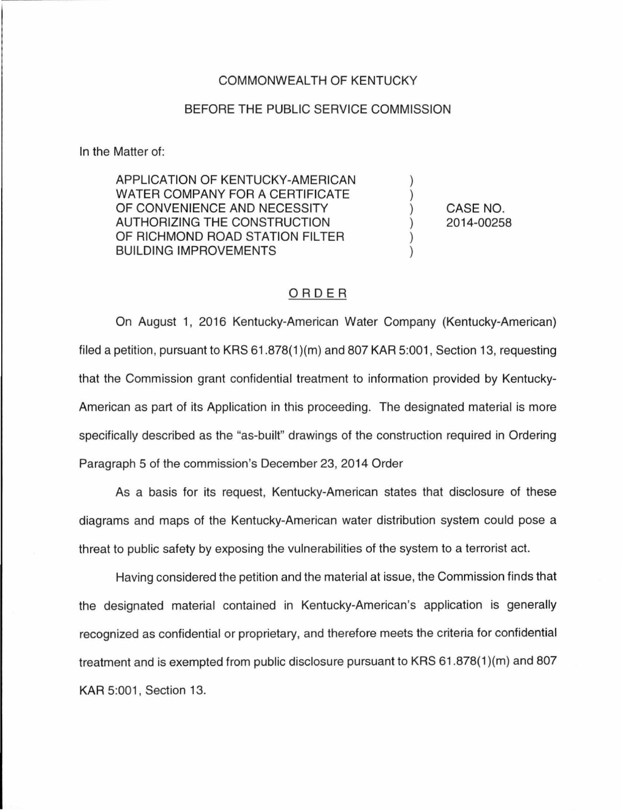## COMMONWEALTH OF KENTUCKY

## BEFORE THE PUBLIC SERVICE COMMISSION

In the Matter of:

APPLICATION OF KENTUCKY-AMERICAN WATER COMPANY FOR A CERTIFICATE OF CONVENIENCE AND NECESSITY AUTHORIZING THE CONSTRUCTION OF RICHMOND ROAD STATION FILTER BUILDING IMPROVEMENTS

CASE NO. 2014-00258

) ) ) ) ) )

## ORDER

On August 1, 2016 Kentucky-American Water Company (Kentucky-American) filed a petition, pursuant to KRS 61.878(1 )(m) and 807 KAR 5:001, Section 13, requesting that the Commission grant confidential treatment to information provided by Kentucky-American as part of its Application in this proceeding. The designated material is more specifically described as the "as-built" drawings of the construction required in Ordering Paragraph 5 of the commission's December 23, 2014 Order

As a basis for its request, Kentucky-American states that disclosure of these diagrams and maps of the Kentucky-American water distribution system could pose a threat to public safety by exposing the vulnerabilities of the system to a terrorist act.

Having considered the petition and the material at issue, the Commission finds that the designated material contained in Kentucky-American's application is generally recognized as confidential or proprietary, and therefore meets the criteria for confidential treatment and is exempted from public disclosure pursuant to KRS 61.878(1 )(m) and 807 KAR 5:001, Section 13.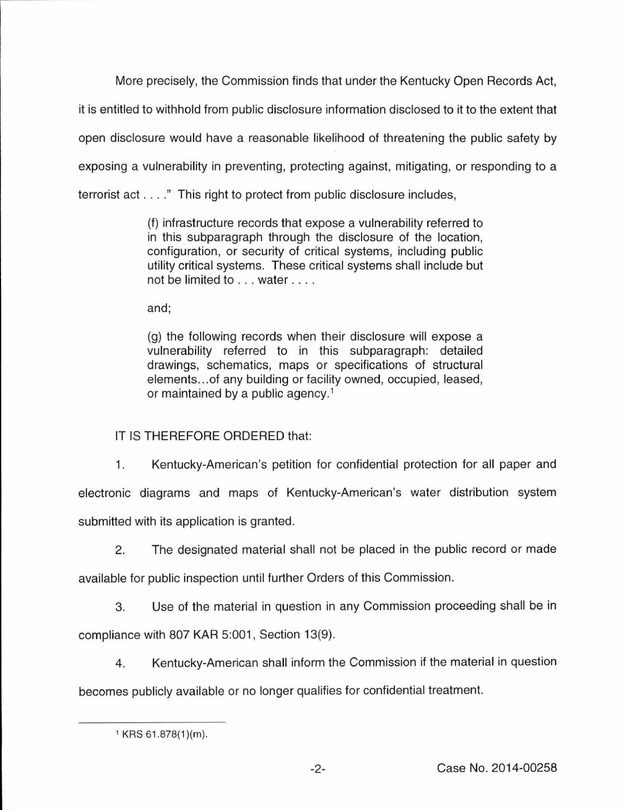More precisely, the Commission finds that under the Kentucky Open Records Act,

it is entitled to withhold from public disclosure information disclosed to it to the extent that open disclosure would have a reasonable likelihood of threatening the public safety by exposing a vulnerability in preventing, protecting against, mitigating, or responding to a terrorist act . ... " This right to protect from public disclosure includes,

> (f) infrastructure records that expose a vulnerability referred to in this subparagraph through the disclosure of the location, configuration, or security of critical systems, including public utility critical systems. These critical systems shall include but not be limited to ... water ....

and;

(g) the following records when their disclosure will expose a vulnerability referred to in this subparagraph: detailed drawings, schematics, maps or specifications of structural elements ... of any building or facility owned, occupied, leased, or maintained by a public agency.<sup>1</sup>

IT IS THEREFORE ORDERED that:

1. Kentucky-American's petition for confidential protection for all paper and electronic diagrams and maps of Kentucky-American's water distribution system submitted with its application is granted.

2. The designated material shall not be placed in the public record or made

available for public inspection until further Orders of this Commission.

3. Use of the material in question in any Commission proceeding shall be in

compliance with 807 KAR 5:001, Section 13(9).

4. Kentucky-American shall inform the Commission if the material in question

becomes publicly available or no longer qualifies for confidential treatment.

 $1$  KRS 61.878(1)(m).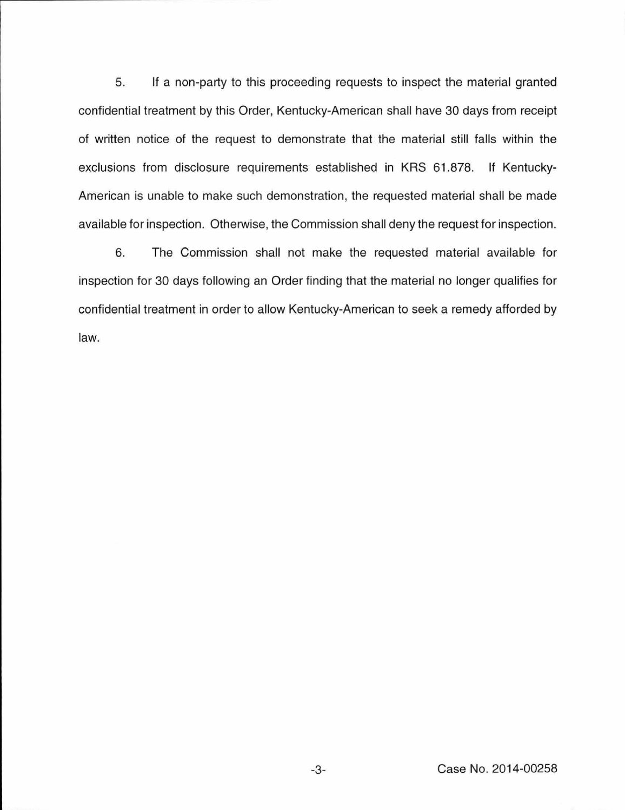5. If a non-party to this proceeding requests to inspect the material granted confidential treatment by this Order, Kentucky-American shall have 30 days from receipt of written notice of the request to demonstrate that the material still falls within the exclusions from disclosure requirements established in KRS 61.878. If Kentucky-American is unable to make such demonstration, the requested material shall be made available for inspection. Otherwise, the Commission shall deny the request for inspection.

6. The Commission shall not make the requested material available for inspection for 30 days following an Order finding that the material no longer qualifies for confidential treatment in order to allow Kentucky-American to seek a remedy afforded by law.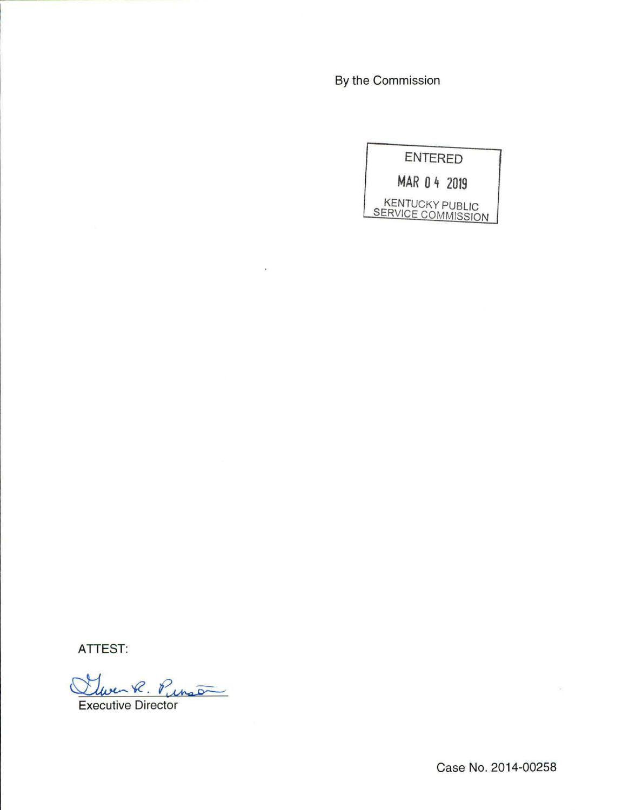By the Commission

ENTERED **MAR 0 4 2019**  KENTUCKY PUBLIC SERVICE COMMISSION

ATTEST:

<u>Lluven R. Punson</u>

Case No. 2014-00258